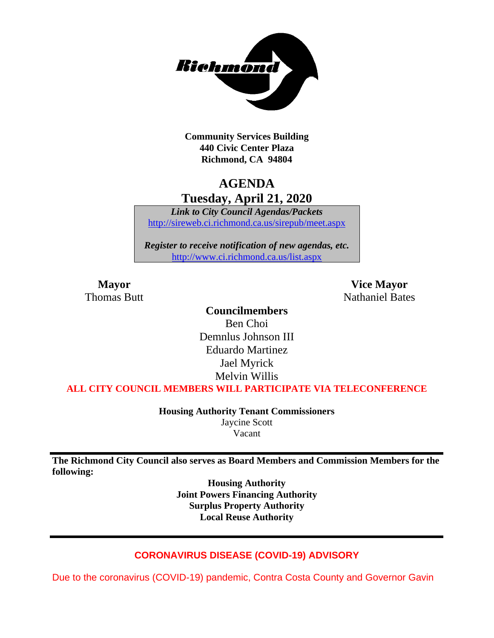

**Community Services Building 440 Civic Center Plaza Richmond, CA 94804**

## **AGENDA Tuesday, April 21, 2020**

*Link to City Council Agendas/Packets* <http://sireweb.ci.richmond.ca.us/sirepub/meet.aspx>

*Register to receive notification of new agendas, etc.* <http://www.ci.richmond.ca.us/list.aspx>

**Mayor Vice Mayor** Thomas Butt **Nathaniel Bates** Nathaniel Bates

### **Councilmembers**

Ben Choi Demnlus Johnson III Eduardo Martinez Jael Myrick Melvin Willis

**ALL CITY COUNCIL MEMBERS WILL PARTICIPATE VIA TELECONFERENCE**

**Housing Authority Tenant Commissioners** Jaycine Scott Vacant

**The Richmond City Council also serves as Board Members and Commission Members for the following:**

> **Housing Authority Joint Powers Financing Authority Surplus Property Authority Local Reuse Authority**

#### **CORONAVIRUS DISEASE (COVID-19) ADVISORY**

Due to the coronavirus (COVID-19) pandemic, Contra Costa County and Governor Gavin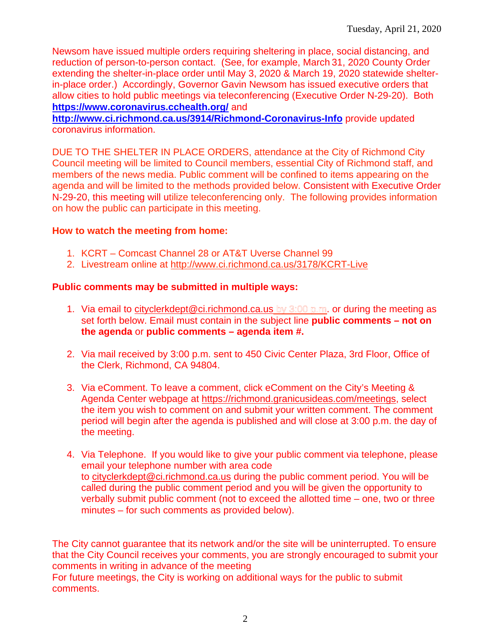Newsom have issued multiple orders requiring sheltering in place, social distancing, and reduction of person-to-person contact. (See, for example, March 31, 2020 County Order extending the shelter-in-place order until May 3, 2020 & March 19, 2020 statewide shelterin-place order.) Accordingly, Governor Gavin Newsom has issued executive orders that allow cities to hold public meetings via teleconferencing (Executive Order N-29-20). Both **<https://www.coronavirus.cchealth.org/>** and

**<http://www.ci.richmond.ca.us/3914/Richmond-Coronavirus-Info>** provide updated coronavirus information.

DUE TO THE SHELTER IN PLACE ORDERS, attendance at the City of Richmond City Council meeting will be limited to Council members, essential City of Richmond staff, and members of the news media. Public comment will be confined to items appearing on the agenda and will be limited to the methods provided below. Consistent with Executive Order N-29-20, this meeting will utilize teleconferencing only. The following provides information on how the public can participate in this meeting.

#### **How to watch the meeting from home:**

- 1. KCRT Comcast Channel 28 or AT&T Uverse Channel 99
- 2. Livestream online at<http://www.ci.richmond.ca.us/3178/KCRT-Live>

### **Public comments may be submitted in multiple ways:**

- 1. Via email to citycler kdept @ ci. richmond.ca.us by  $3:00$  p.m. or during the meeting as set forth below. Email must contain in the subject line **public comments – not on the agenda** or **public comments – agenda item #.**
- 2. Via mail received by 3:00 p.m. sent to 450 Civic Center Plaza, 3rd Floor, Office of the Clerk, Richmond, CA 94804.
- 3. Via eComment. To leave a comment, click eComment on the City's Meeting & Agenda Center webpage at [https://richmond.granicusideas.com/meetings,](https://richmond.granicusideas.com/meetings) select the item you wish to comment on and submit your written comment. The comment period will begin after the agenda is published and will close at 3:00 p.m. the day of the meeting.
- 4. Via Telephone. If you would like to give your public comment via telephone, please email your telephone number with area code to [cityclerkdept@ci.richmond.ca.us](mailto:cityclerkdept@ci.richmond.ca.us) during the public comment period. You will be called during the public comment period and you will be given the opportunity to verbally submit public comment (not to exceed the allotted time – one, two or three minutes – for such comments as provided below).

The City cannot guarantee that its network and/or the site will be uninterrupted. To ensure that the City Council receives your comments, you are strongly encouraged to submit your comments in writing in advance of the meeting

For future meetings, the City is working on additional ways for the public to submit comments.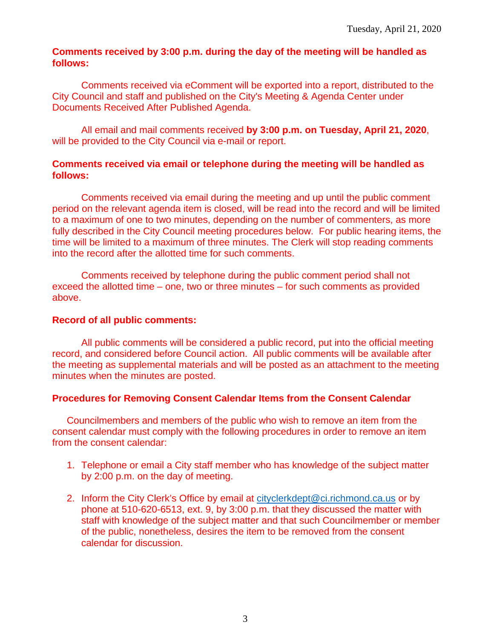#### **Comments received by 3:00 p.m. during the day of the meeting will be handled as follows:**

Comments received via eComment will be exported into a report, distributed to the City Council and staff and published on the City's Meeting & Agenda Center under Documents Received After Published Agenda.

All email and mail comments received **by 3:00 p.m. on Tuesday, April 21, 2020**, will be provided to the City Council via e-mail or report.

#### **Comments received via email or telephone during the meeting will be handled as follows:**

Comments received via email during the meeting and up until the public comment period on the relevant agenda item is closed, will be read into the record and will be limited to a maximum of one to two minutes, depending on the number of commenters, as more fully described in the City Council meeting procedures below. For public hearing items, the time will be limited to a maximum of three minutes. The Clerk will stop reading comments into the record after the allotted time for such comments.

Comments received by telephone during the public comment period shall not exceed the allotted time – one, two or three minutes – for such comments as provided above.

#### **Record of all public comments:**

All public comments will be considered a public record, put into the official meeting record, and considered before Council action. All public comments will be available after the meeting as supplemental materials and will be posted as an attachment to the meeting minutes when the minutes are posted.

#### **Procedures for Removing Consent Calendar Items from the Consent Calendar**

Councilmembers and members of the public who wish to remove an item from the consent calendar must comply with the following procedures in order to remove an item from the consent calendar:

- 1. Telephone or email a City staff member who has knowledge of the subject matter by 2:00 p.m. on the day of meeting.
- 2. Inform the City Clerk's Office by email at [cityclerkdept@ci.richmond.ca.us](mailto:cityclerkdept@ci.richmond.ca.us) or by phone at 510-620-6513, ext. 9, by 3:00 p.m. that they discussed the matter with staff with knowledge of the subject matter and that such Councilmember or member of the public, nonetheless, desires the item to be removed from the consent calendar for discussion.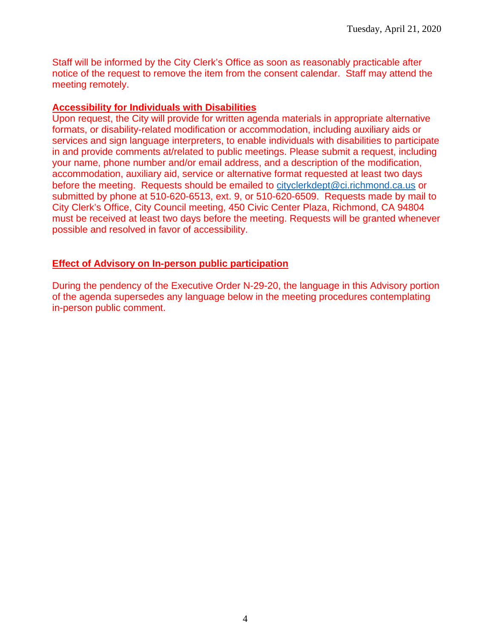Staff will be informed by the City Clerk's Office as soon as reasonably practicable after notice of the request to remove the item from the consent calendar. Staff may attend the meeting remotely.

#### **Accessibility for Individuals with Disabilities**

Upon request, the City will provide for written agenda materials in appropriate alternative formats, or disability-related modification or accommodation, including auxiliary aids or services and sign language interpreters, to enable individuals with disabilities to participate in and provide comments at/related to public meetings. Please submit a request, including your name, phone number and/or email address, and a description of the modification, accommodation, auxiliary aid, service or alternative format requested at least two days before the meeting. Requests should be emailed to [cityclerkdept@ci.richmond.ca.us](mailto:cityclerkdept@ci.richmond.ca.us) or submitted by phone at 510-620-6513, ext. 9, or 510-620-6509. Requests made by mail to City Clerk's Office, City Council meeting, 450 Civic Center Plaza, Richmond, CA 94804 must be received at least two days before the meeting. Requests will be granted whenever possible and resolved in favor of accessibility.

#### **Effect of Advisory on In-person public participation**

During the pendency of the Executive Order N-29-20, the language in this Advisory portion of the agenda supersedes any language below in the meeting procedures contemplating in-person public comment.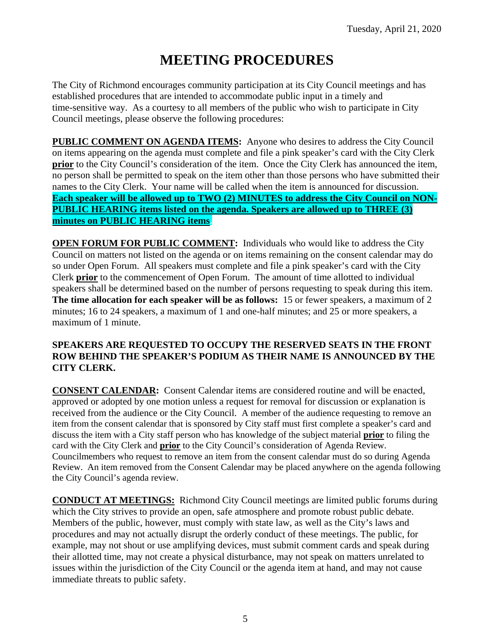# **MEETING PROCEDURES**

The City of Richmond encourages community participation at its City Council meetings and has established procedures that are intended to accommodate public input in a timely and time-sensitive way. As a courtesy to all members of the public who wish to participate in City Council meetings, please observe the following procedures:

**PUBLIC COMMENT ON AGENDA ITEMS:** Anyone who desires to address the City Council on items appearing on the agenda must complete and file a pink speaker's card with the City Clerk **prior** to the City Council's consideration of the item. Once the City Clerk has announced the item, no person shall be permitted to speak on the item other than those persons who have submitted their names to the City Clerk. Your name will be called when the item is announced for discussion. **Each speaker will be allowed up to TWO (2) MINUTES to address the City Council on NON-PUBLIC HEARING items listed on the agenda. Speakers are allowed up to THREE (3) minutes on PUBLIC HEARING items.**

**OPEN FORUM FOR PUBLIC COMMENT:** Individuals who would like to address the City Council on matters not listed on the agenda or on items remaining on the consent calendar may do so under Open Forum. All speakers must complete and file a pink speaker's card with the City Clerk **prior** to the commencement of Open Forum. The amount of time allotted to individual speakers shall be determined based on the number of persons requesting to speak during this item. **The time allocation for each speaker will be as follows:** 15 or fewer speakers, a maximum of 2 minutes; 16 to 24 speakers, a maximum of 1 and one-half minutes; and 25 or more speakers, a maximum of 1 minute.

#### **SPEAKERS ARE REQUESTED TO OCCUPY THE RESERVED SEATS IN THE FRONT ROW BEHIND THE SPEAKER'S PODIUM AS THEIR NAME IS ANNOUNCED BY THE CITY CLERK.**

**CONSENT CALENDAR:** Consent Calendar items are considered routine and will be enacted, approved or adopted by one motion unless a request for removal for discussion or explanation is received from the audience or the City Council. A member of the audience requesting to remove an item from the consent calendar that is sponsored by City staff must first complete a speaker's card and discuss the item with a City staff person who has knowledge of the subject material **prior** to filing the card with the City Clerk and **prior** to the City Council's consideration of Agenda Review. Councilmembers who request to remove an item from the consent calendar must do so during Agenda Review. An item removed from the Consent Calendar may be placed anywhere on the agenda following the City Council's agenda review.

**CONDUCT AT MEETINGS:** Richmond City Council meetings are limited public forums during which the City strives to provide an open, safe atmosphere and promote robust public debate. Members of the public, however, must comply with state law, as well as the City's laws and procedures and may not actually disrupt the orderly conduct of these meetings. The public, for example, may not shout or use amplifying devices, must submit comment cards and speak during their allotted time, may not create a physical disturbance, may not speak on matters unrelated to issues within the jurisdiction of the City Council or the agenda item at hand, and may not cause immediate threats to public safety.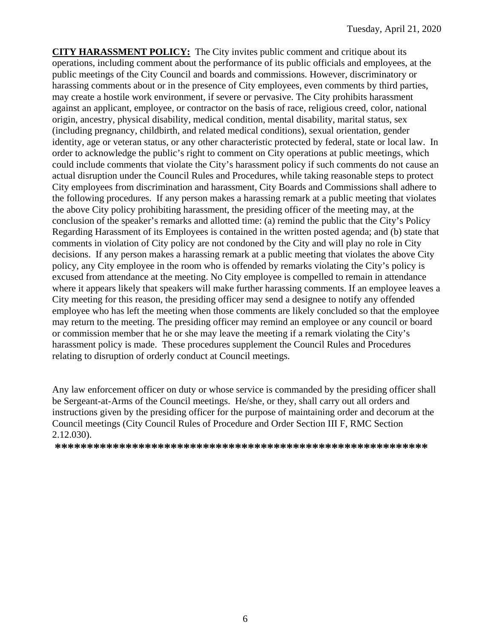**CITY HARASSMENT POLICY:** The City invites public comment and critique about its operations, including comment about the performance of its public officials and employees, at the public meetings of the City Council and boards and commissions. However, discriminatory or harassing comments about or in the presence of City employees, even comments by third parties, may create a hostile work environment, if severe or pervasive. The City prohibits harassment against an applicant, employee, or contractor on the basis of race, religious creed, color, national origin, ancestry, physical disability, medical condition, mental disability, marital status, sex (including pregnancy, childbirth, and related medical conditions), sexual orientation, gender identity, age or veteran status, or any other characteristic protected by federal, state or local law. In order to acknowledge the public's right to comment on City operations at public meetings, which could include comments that violate the City's harassment policy if such comments do not cause an actual disruption under the Council Rules and Procedures, while taking reasonable steps to protect City employees from discrimination and harassment, City Boards and Commissions shall adhere to the following procedures. If any person makes a harassing remark at a public meeting that violates the above City policy prohibiting harassment, the presiding officer of the meeting may, at the conclusion of the speaker's remarks and allotted time: (a) remind the public that the City's Policy Regarding Harassment of its Employees is contained in the written posted agenda; and (b) state that comments in violation of City policy are not condoned by the City and will play no role in City decisions. If any person makes a harassing remark at a public meeting that violates the above City policy, any City employee in the room who is offended by remarks violating the City's policy is excused from attendance at the meeting. No City employee is compelled to remain in attendance where it appears likely that speakers will make further harassing comments. If an employee leaves a City meeting for this reason, the presiding officer may send a designee to notify any offended employee who has left the meeting when those comments are likely concluded so that the employee may return to the meeting. The presiding officer may remind an employee or any council or board or commission member that he or she may leave the meeting if a remark violating the City's harassment policy is made. These procedures supplement the Council Rules and Procedures relating to disruption of orderly conduct at Council meetings.

Any law enforcement officer on duty or whose service is commanded by the presiding officer shall be Sergeant-at-Arms of the Council meetings. He/she, or they, shall carry out all orders and instructions given by the presiding officer for the purpose of maintaining order and decorum at the Council meetings (City Council Rules of Procedure and Order Section III F, RMC Section 2.12.030).

**\*\*\*\*\*\*\*\*\*\*\*\*\*\*\*\*\*\*\*\*\*\*\*\*\*\*\*\*\*\*\*\*\*\*\*\*\*\*\*\*\*\*\*\*\*\*\*\*\*\*\*\*\*\*\*\*\*\***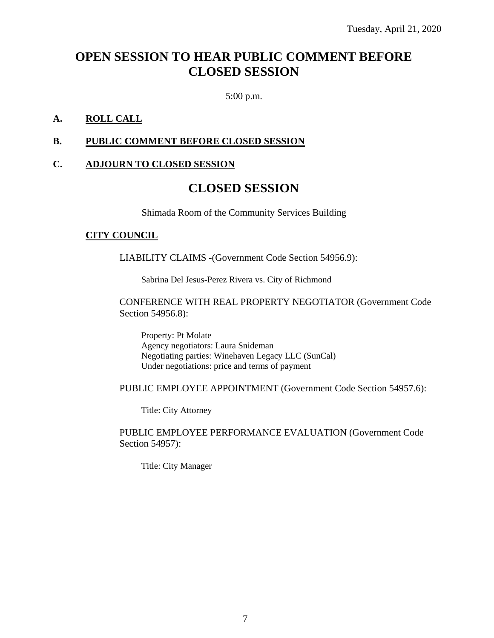# **OPEN SESSION TO HEAR PUBLIC COMMENT BEFORE CLOSED SESSION**

5:00 p.m.

#### **A. ROLL CALL**

#### **B. PUBLIC COMMENT BEFORE CLOSED SESSION**

#### **C. ADJOURN TO CLOSED SESSION**

# **CLOSED SESSION**

Shimada Room of the Community Services Building

#### **CITY COUNCIL**

LIABILITY CLAIMS -(Government Code Section 54956.9):

Sabrina Del Jesus-Perez Rivera vs. City of Richmond

CONFERENCE WITH REAL PROPERTY NEGOTIATOR (Government Code Section 54956.8):

Property: Pt Molate Agency negotiators: Laura Snideman Negotiating parties: Winehaven Legacy LLC (SunCal) Under negotiations: price and terms of payment

PUBLIC EMPLOYEE APPOINTMENT (Government Code Section 54957.6):

Title: City Attorney

PUBLIC EMPLOYEE PERFORMANCE EVALUATION (Government Code Section 54957):

Title: City Manager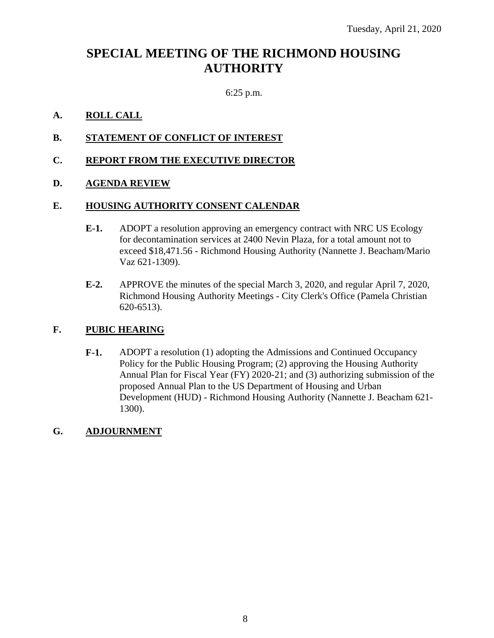# **SPECIAL MEETING OF THE RICHMOND HOUSING AUTHORITY**

#### 6:25 p.m.

#### **A. ROLL CALL**

- **B. STATEMENT OF CONFLICT OF INTEREST**
- **C. REPORT FROM THE EXECUTIVE DIRECTOR**

#### **D. AGENDA REVIEW**

#### **E. HOUSING AUTHORITY CONSENT CALENDAR**

- **E-1.** ADOPT a resolution approving an emergency contract with NRC US Ecology for decontamination services at 2400 Nevin Plaza, for a total amount not to exceed \$18,471.56 - Richmond Housing Authority (Nannette J. Beacham/Mario Vaz 621-1309).
- **E-2.** APPROVE the minutes of the special March 3, 2020, and regular April 7, 2020, Richmond Housing Authority Meetings - City Clerk's Office (Pamela Christian 620-6513).

#### **F. PUBIC HEARING**

**F-1.** ADOPT a resolution (1) adopting the Admissions and Continued Occupancy Policy for the Public Housing Program; (2) approving the Housing Authority Annual Plan for Fiscal Year (FY) 2020-21; and (3) authorizing submission of the proposed Annual Plan to the US Department of Housing and Urban Development (HUD) - Richmond Housing Authority (Nannette J. Beacham 621- 1300).

#### **G. ADJOURNMENT**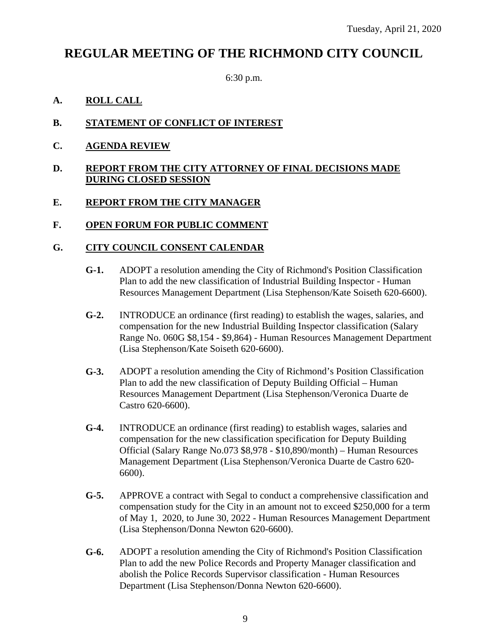# **REGULAR MEETING OF THE RICHMOND CITY COUNCIL**

6:30 p.m.

#### **A. ROLL CALL**

#### **B. STATEMENT OF CONFLICT OF INTEREST**

**C. AGENDA REVIEW**

#### **D. REPORT FROM THE CITY ATTORNEY OF FINAL DECISIONS MADE DURING CLOSED SESSION**

### **E. REPORT FROM THE CITY MANAGER**

#### **F. OPEN FORUM FOR PUBLIC COMMENT**

#### **G. CITY COUNCIL CONSENT CALENDAR**

- **G-1.** ADOPT a resolution amending the City of Richmond's Position Classification Plan to add the new classification of Industrial Building Inspector - Human Resources Management Department (Lisa Stephenson/Kate Soiseth 620-6600).
- **G-2.** INTRODUCE an ordinance (first reading) to establish the wages, salaries, and compensation for the new Industrial Building Inspector classification (Salary Range No. 060G \$8,154 - \$9,864) - Human Resources Management Department (Lisa Stephenson/Kate Soiseth 620-6600).
- **G-3.** ADOPT a resolution amending the City of Richmond's Position Classification Plan to add the new classification of Deputy Building Official – Human Resources Management Department (Lisa Stephenson/Veronica Duarte de Castro 620-6600).
- **G-4.** INTRODUCE an ordinance (first reading) to establish wages, salaries and compensation for the new classification specification for Deputy Building Official (Salary Range No.073 \$8,978 - \$10,890/month) – Human Resources Management Department (Lisa Stephenson/Veronica Duarte de Castro 620- 6600).
- **G-5.** APPROVE a contract with Segal to conduct a comprehensive classification and compensation study for the City in an amount not to exceed \$250,000 for a term of May 1, 2020, to June 30, 2022 - Human Resources Management Department (Lisa Stephenson/Donna Newton 620-6600).
- **G-6.** ADOPT a resolution amending the City of Richmond's Position Classification Plan to add the new Police Records and Property Manager classification and abolish the Police Records Supervisor classification - Human Resources Department (Lisa Stephenson/Donna Newton 620-6600).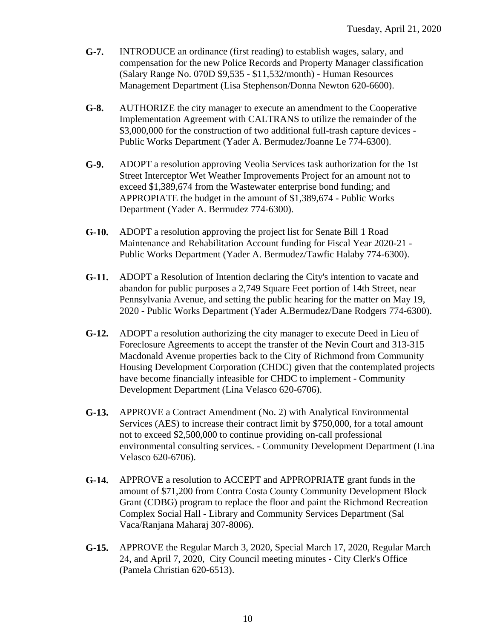- **G-7.** INTRODUCE an ordinance (first reading) to establish wages, salary, and compensation for the new Police Records and Property Manager classification (Salary Range No. 070D \$9,535 - \$11,532/month) - Human Resources Management Department (Lisa Stephenson/Donna Newton 620-6600).
- **G-8.** AUTHORIZE the city manager to execute an amendment to the Cooperative Implementation Agreement with CALTRANS to utilize the remainder of the \$3,000,000 for the construction of two additional full-trash capture devices -Public Works Department (Yader A. Bermudez/Joanne Le 774-6300).
- **G-9.** ADOPT a resolution approving Veolia Services task authorization for the 1st Street Interceptor Wet Weather Improvements Project for an amount not to exceed \$1,389,674 from the Wastewater enterprise bond funding; and APPROPIATE the budget in the amount of \$1,389,674 - Public Works Department (Yader A. Bermudez 774-6300).
- **G-10.** ADOPT a resolution approving the project list for Senate Bill 1 Road Maintenance and Rehabilitation Account funding for Fiscal Year 2020-21 - Public Works Department (Yader A. Bermudez/Tawfic Halaby 774-6300).
- **G-11.** ADOPT a Resolution of Intention declaring the City's intention to vacate and abandon for public purposes a 2,749 Square Feet portion of 14th Street, near Pennsylvania Avenue, and setting the public hearing for the matter on May 19, 2020 - Public Works Department (Yader A.Bermudez/Dane Rodgers 774-6300).
- **G-12.** ADOPT a resolution authorizing the city manager to execute Deed in Lieu of Foreclosure Agreements to accept the transfer of the Nevin Court and 313-315 Macdonald Avenue properties back to the City of Richmond from Community Housing Development Corporation (CHDC) given that the contemplated projects have become financially infeasible for CHDC to implement - Community Development Department (Lina Velasco 620-6706).
- **G-13.** APPROVE a Contract Amendment (No. 2) with Analytical Environmental Services (AES) to increase their contract limit by \$750,000, for a total amount not to exceed \$2,500,000 to continue providing on-call professional environmental consulting services. - Community Development Department (Lina Velasco 620-6706).
- **G-14.** APPROVE a resolution to ACCEPT and APPROPRIATE grant funds in the amount of \$71,200 from Contra Costa County Community Development Block Grant (CDBG) program to replace the floor and paint the Richmond Recreation Complex Social Hall - Library and Community Services Department (Sal Vaca/Ranjana Maharaj 307-8006).
- **G-15.** APPROVE the Regular March 3, 2020, Special March 17, 2020, Regular March 24, and April 7, 2020, City Council meeting minutes - City Clerk's Office (Pamela Christian 620-6513).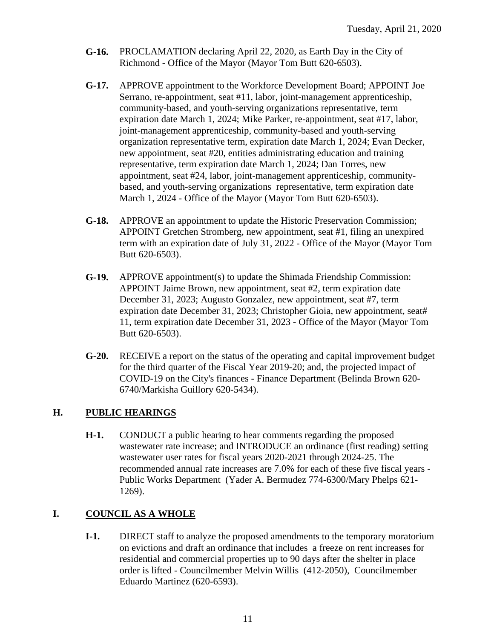- **G-16.** PROCLAMATION declaring April 22, 2020, as Earth Day in the City of Richmond - Office of the Mayor (Mayor Tom Butt 620-6503).
- **G-17.** APPROVE appointment to the Workforce Development Board; APPOINT Joe Serrano, re-appointment, seat #11, labor, joint-management apprenticeship, community-based, and youth-serving organizations representative, term expiration date March 1, 2024; Mike Parker, re-appointment, seat #17, labor, joint-management apprenticeship, community-based and youth-serving organization representative term, expiration date March 1, 2024; Evan Decker, new appointment, seat #20, entities administrating education and training representative, term expiration date March 1, 2024; Dan Torres, new appointment, seat #24, labor, joint-management apprenticeship, communitybased, and youth-serving organizations representative, term expiration date March 1, 2024 - Office of the Mayor (Mayor Tom Butt 620-6503).
- **G-18.** APPROVE an appointment to update the Historic Preservation Commission; APPOINT Gretchen Stromberg, new appointment, seat #1, filing an unexpired term with an expiration date of July 31, 2022 - Office of the Mayor (Mayor Tom Butt 620-6503).
- **G-19.** APPROVE appointment(s) to update the Shimada Friendship Commission: APPOINT Jaime Brown, new appointment, seat #2, term expiration date December 31, 2023; Augusto Gonzalez, new appointment, seat #7, term expiration date December 31, 2023; Christopher Gioia, new appointment, seat# 11, term expiration date December 31, 2023 - Office of the Mayor (Mayor Tom Butt 620-6503).
- **G-20.** RECEIVE a report on the status of the operating and capital improvement budget for the third quarter of the Fiscal Year 2019-20; and, the projected impact of COVID-19 on the City's finances - Finance Department (Belinda Brown 620- 6740/Markisha Guillory 620-5434).

#### **H. PUBLIC HEARINGS**

**H-1.** CONDUCT a public hearing to hear comments regarding the proposed wastewater rate increase; and INTRODUCE an ordinance (first reading) setting wastewater user rates for fiscal years 2020-2021 through 2024-25. The recommended annual rate increases are 7.0% for each of these five fiscal years - Public Works Department (Yader A. Bermudez 774-6300/Mary Phelps 621- 1269).

### **I. COUNCIL AS A WHOLE**

**I-1.** DIRECT staff to analyze the proposed amendments to the temporary moratorium on evictions and draft an ordinance that includes a freeze on rent increases for residential and commercial properties up to 90 days after the shelter in place order is lifted - Councilmember Melvin Willis (412-2050), Councilmember Eduardo Martinez (620-6593).